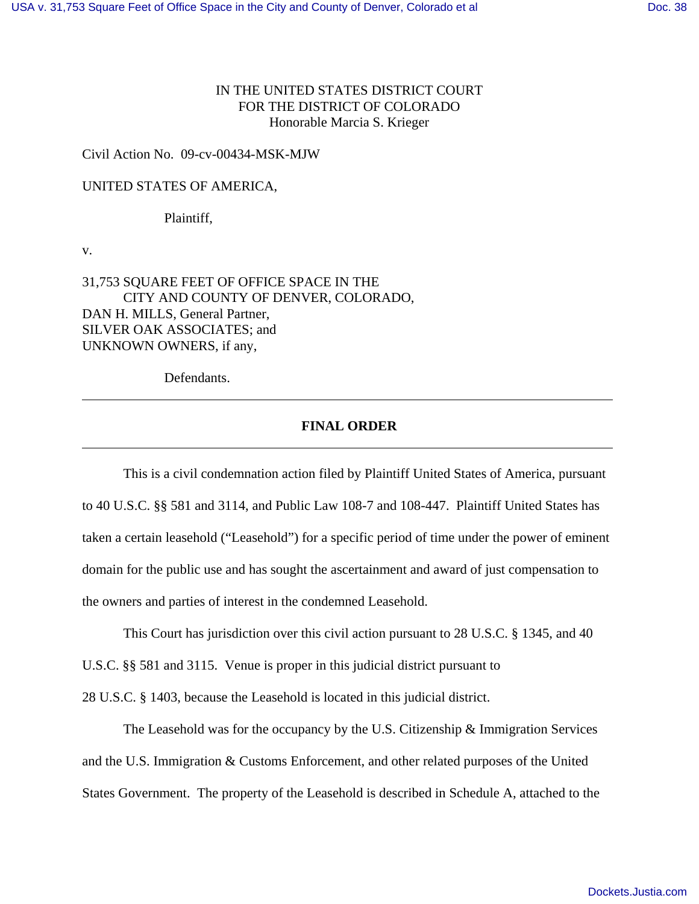# IN THE UNITED STATES DISTRICT COURT FOR THE DISTRICT OF COLORADO Honorable Marcia S. Krieger

# Civil Action No. 09-cv-00434-MSK-MJW

### UNITED STATES OF AMERICA,

Plaintiff,

v.

 $\overline{a}$ 

31,753 SQUARE FEET OF OFFICE SPACE IN THE CITY AND COUNTY OF DENVER, COLORADO, DAN H. MILLS, General Partner, SILVER OAK ASSOCIATES; and UNKNOWN OWNERS, if any,

Defendants.

# **FINAL ORDER**

This is a civil condemnation action filed by Plaintiff United States of America, pursuant to 40 U.S.C. §§ 581 and 3114, and Public Law 108-7 and 108-447. Plaintiff United States has taken a certain leasehold ("Leasehold") for a specific period of time under the power of eminent domain for the public use and has sought the ascertainment and award of just compensation to the owners and parties of interest in the condemned Leasehold.

This Court has jurisdiction over this civil action pursuant to 28 U.S.C. § 1345, and 40

U.S.C. §§ 581 and 3115. Venue is proper in this judicial district pursuant to

28 U.S.C. § 1403, because the Leasehold is located in this judicial district.

The Leasehold was for the occupancy by the U.S. Citizenship & Immigration Services and the U.S. Immigration & Customs Enforcement, and other related purposes of the United States Government. The property of the Leasehold is described in Schedule A, attached to the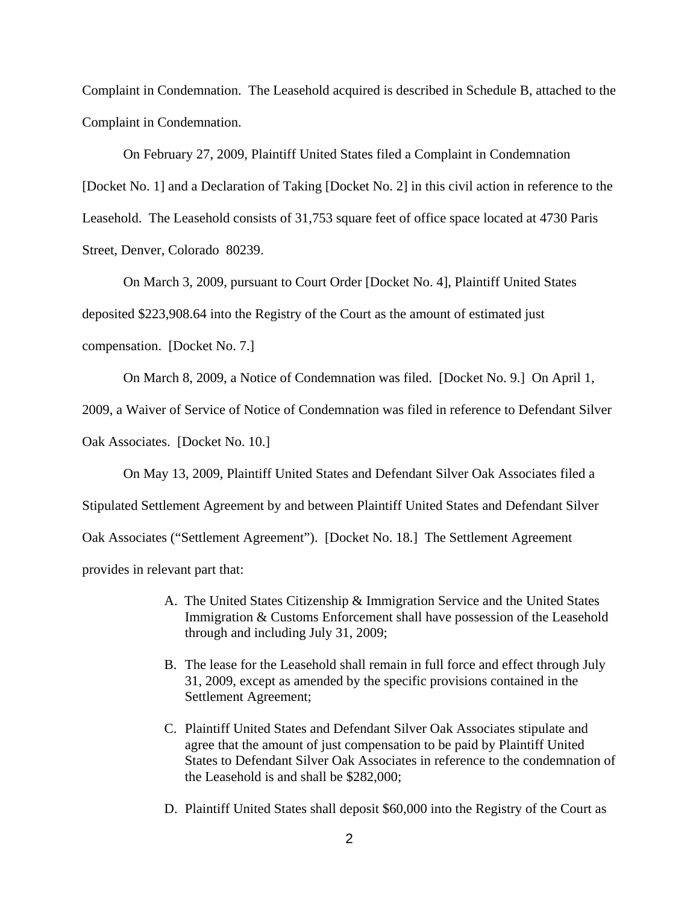Complaint in Condemnation. The Leasehold acquired is described in Schedule B, attached to the Complaint in Condemnation.

On February 27, 2009, Plaintiff United States filed a Complaint in Condemnation [Docket No. 1] and a Declaration of Taking [Docket No. 2] in this civil action in reference to the Leasehold. The Leasehold consists of 31,753 square feet of office space located at 4730 Paris Street, Denver, Colorado 80239.

On March 3, 2009, pursuant to Court Order [Docket No. 4], Plaintiff United States deposited \$223,908.64 into the Registry of the Court as the amount of estimated just compensation. [Docket No. 7.]

On March 8, 2009, a Notice of Condemnation was filed. [Docket No. 9.] On April 1,

2009, a Waiver of Service of Notice of Condemnation was filed in reference to Defendant Silver

Oak Associates. [Docket No. 10.]

On May 13, 2009, Plaintiff United States and Defendant Silver Oak Associates filed a

Stipulated Settlement Agreement by and between Plaintiff United States and Defendant Silver

Oak Associates ("Settlement Agreement"). [Docket No. 18.] The Settlement Agreement

provides in relevant part that:

- A. The United States Citizenship & Immigration Service and the United States Immigration & Customs Enforcement shall have possession of the Leasehold through and including July 31, 2009;
- B. The lease for the Leasehold shall remain in full force and effect through July 31, 2009, except as amended by the specific provisions contained in the Settlement Agreement;
- C. Plaintiff United States and Defendant Silver Oak Associates stipulate and agree that the amount of just compensation to be paid by Plaintiff United States to Defendant Silver Oak Associates in reference to the condemnation of the Leasehold is and shall be \$282,000;
- D. Plaintiff United States shall deposit \$60,000 into the Registry of the Court as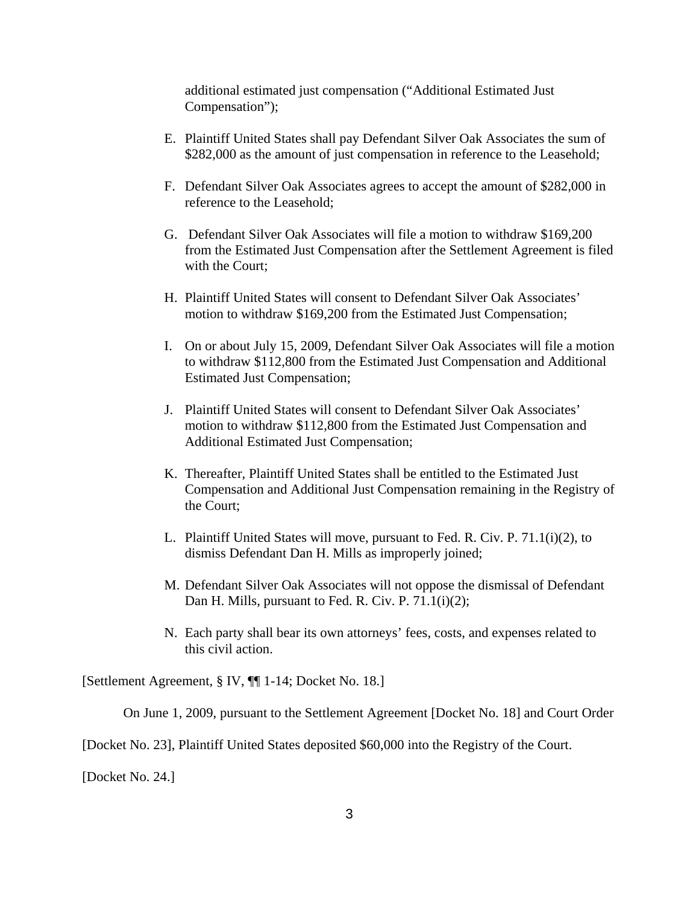additional estimated just compensation ("Additional Estimated Just Compensation");

- E. Plaintiff United States shall pay Defendant Silver Oak Associates the sum of \$282,000 as the amount of just compensation in reference to the Leasehold;
- F. Defendant Silver Oak Associates agrees to accept the amount of \$282,000 in reference to the Leasehold;
- G. Defendant Silver Oak Associates will file a motion to withdraw \$169,200 from the Estimated Just Compensation after the Settlement Agreement is filed with the Court;
- H. Plaintiff United States will consent to Defendant Silver Oak Associates' motion to withdraw \$169,200 from the Estimated Just Compensation;
- I. On or about July 15, 2009, Defendant Silver Oak Associates will file a motion to withdraw \$112,800 from the Estimated Just Compensation and Additional Estimated Just Compensation;
- J. Plaintiff United States will consent to Defendant Silver Oak Associates' motion to withdraw \$112,800 from the Estimated Just Compensation and Additional Estimated Just Compensation;
- K. Thereafter, Plaintiff United States shall be entitled to the Estimated Just Compensation and Additional Just Compensation remaining in the Registry of the Court;
- L. Plaintiff United States will move, pursuant to Fed. R. Civ. P. 71.1(i)(2), to dismiss Defendant Dan H. Mills as improperly joined;
- M. Defendant Silver Oak Associates will not oppose the dismissal of Defendant Dan H. Mills, pursuant to Fed. R. Civ. P. 71.1(i)(2);
- N. Each party shall bear its own attorneys' fees, costs, and expenses related to this civil action.

[Settlement Agreement, § IV, ¶¶ 1-14; Docket No. 18.]

On June 1, 2009, pursuant to the Settlement Agreement [Docket No. 18] and Court Order

[Docket No. 23], Plaintiff United States deposited \$60,000 into the Registry of the Court.

[Docket No. 24.]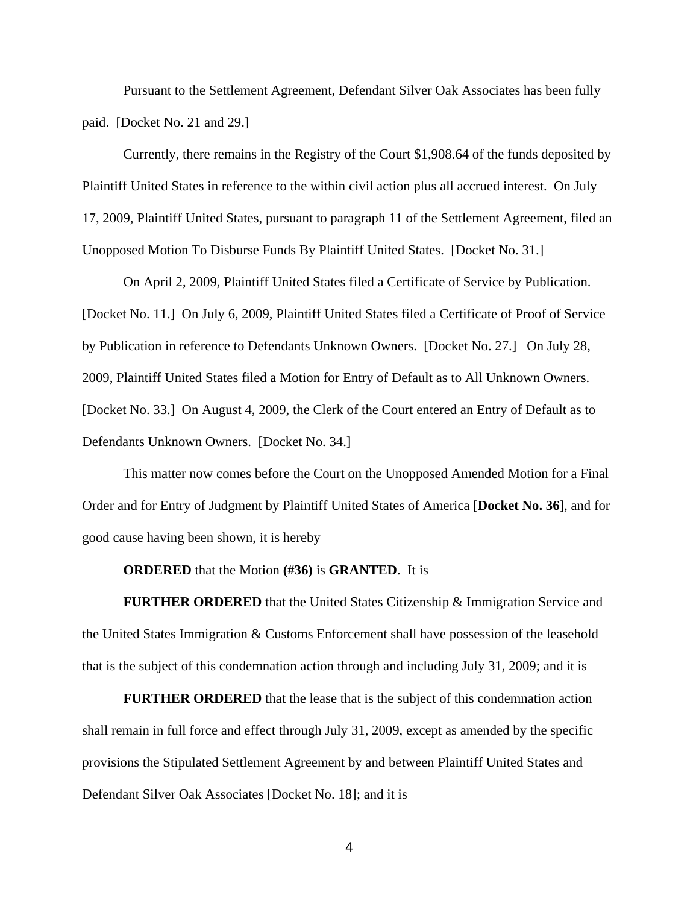Pursuant to the Settlement Agreement, Defendant Silver Oak Associates has been fully paid. [Docket No. 21 and 29.]

Currently, there remains in the Registry of the Court \$1,908.64 of the funds deposited by Plaintiff United States in reference to the within civil action plus all accrued interest. On July 17, 2009, Plaintiff United States, pursuant to paragraph 11 of the Settlement Agreement, filed an Unopposed Motion To Disburse Funds By Plaintiff United States. [Docket No. 31.]

On April 2, 2009, Plaintiff United States filed a Certificate of Service by Publication. [Docket No. 11.] On July 6, 2009, Plaintiff United States filed a Certificate of Proof of Service by Publication in reference to Defendants Unknown Owners. [Docket No. 27.] On July 28, 2009, Plaintiff United States filed a Motion for Entry of Default as to All Unknown Owners. [Docket No. 33.] On August 4, 2009, the Clerk of the Court entered an Entry of Default as to Defendants Unknown Owners. [Docket No. 34.]

This matter now comes before the Court on the Unopposed Amended Motion for a Final Order and for Entry of Judgment by Plaintiff United States of America [**Docket No. 36**], and for good cause having been shown, it is hereby

#### **ORDERED** that the Motion **(#36)** is **GRANTED**. It is

**FURTHER ORDERED** that the United States Citizenship & Immigration Service and the United States Immigration & Customs Enforcement shall have possession of the leasehold that is the subject of this condemnation action through and including July 31, 2009; and it is

**FURTHER ORDERED** that the lease that is the subject of this condemnation action shall remain in full force and effect through July 31, 2009, except as amended by the specific provisions the Stipulated Settlement Agreement by and between Plaintiff United States and Defendant Silver Oak Associates [Docket No. 18]; and it is

4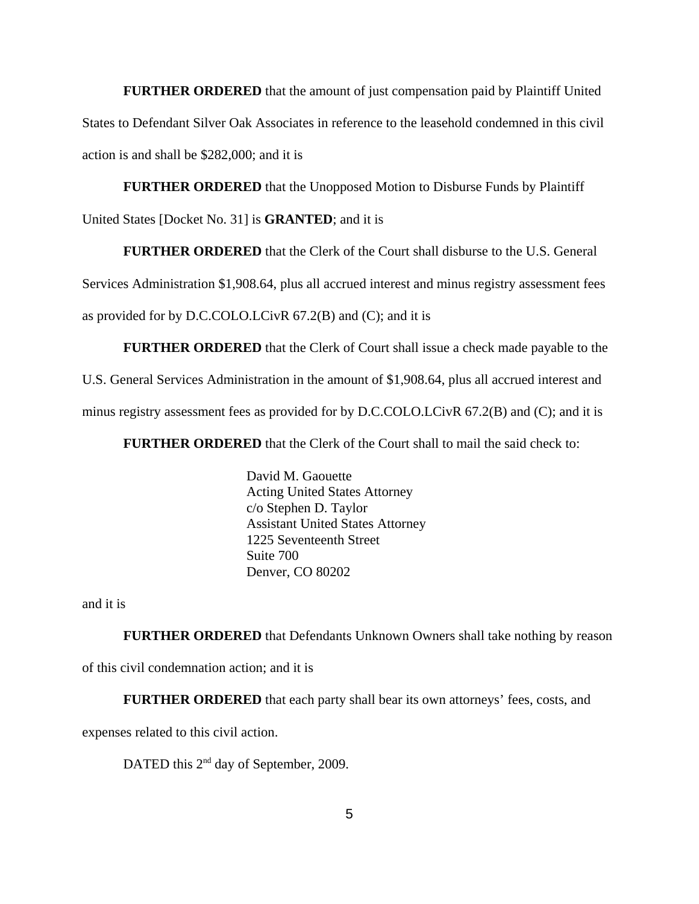**FURTHER ORDERED** that the amount of just compensation paid by Plaintiff United

States to Defendant Silver Oak Associates in reference to the leasehold condemned in this civil action is and shall be \$282,000; and it is

**FURTHER ORDERED** that the Unopposed Motion to Disburse Funds by Plaintiff

United States [Docket No. 31] is **GRANTED**; and it is

**FURTHER ORDERED** that the Clerk of the Court shall disburse to the U.S. General

Services Administration \$1,908.64, plus all accrued interest and minus registry assessment fees

as provided for by D.C.COLO.LCivR 67.2(B) and (C); and it is

**FURTHER ORDERED** that the Clerk of Court shall issue a check made payable to the U.S. General Services Administration in the amount of \$1,908.64, plus all accrued interest and minus registry assessment fees as provided for by D.C.COLO.LCivR 67.2(B) and (C); and it is

**FURTHER ORDERED** that the Clerk of the Court shall to mail the said check to:

David M. Gaouette Acting United States Attorney c/o Stephen D. Taylor Assistant United States Attorney 1225 Seventeenth Street Suite 700 Denver, CO 80202

and it is

**FURTHER ORDERED** that Defendants Unknown Owners shall take nothing by reason of this civil condemnation action; and it is

**FURTHER ORDERED** that each party shall bear its own attorneys' fees, costs, and

expenses related to this civil action.

DATED this 2<sup>nd</sup> day of September, 2009.